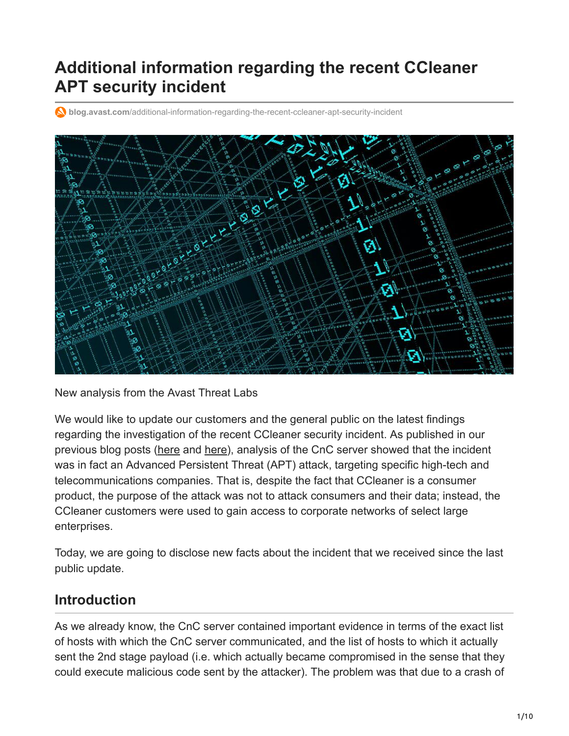# **Additional information regarding the recent CCleaner APT security incident**

**blog.avast.com**[/additional-information-regarding-the-recent-ccleaner-apt-security-incident](https://blog.avast.com/additional-information-regarding-the-recent-ccleaner-apt-security-incident)



New analysis from the Avast Threat Labs

We would like to update our customers and the general public on the latest findings regarding the investigation of the recent CCleaner security incident. As published in our previous blog posts ([here](https://blog.avast.com/progress-on-ccleaner-investigation) and [here](https://blog.avast.com/avast-threat-labs-analysis-of-ccleaner-incident)), analysis of the CnC server showed that the incident was in fact an Advanced Persistent Threat (APT) attack, targeting specific high-tech and telecommunications companies. That is, despite the fact that CCleaner is a consumer product, the purpose of the attack was not to attack consumers and their data; instead, the CCleaner customers were used to gain access to corporate networks of select large enterprises.

Today, we are going to disclose new facts about the incident that we received since the last public update.

## **Introduction**

As we already know, the CnC server contained important evidence in terms of the exact list of hosts with which the CnC server communicated, and the list of hosts to which it actually sent the 2nd stage payload (i.e. which actually became compromised in the sense that they could execute malicious code sent by the attacker). The problem was that due to a crash of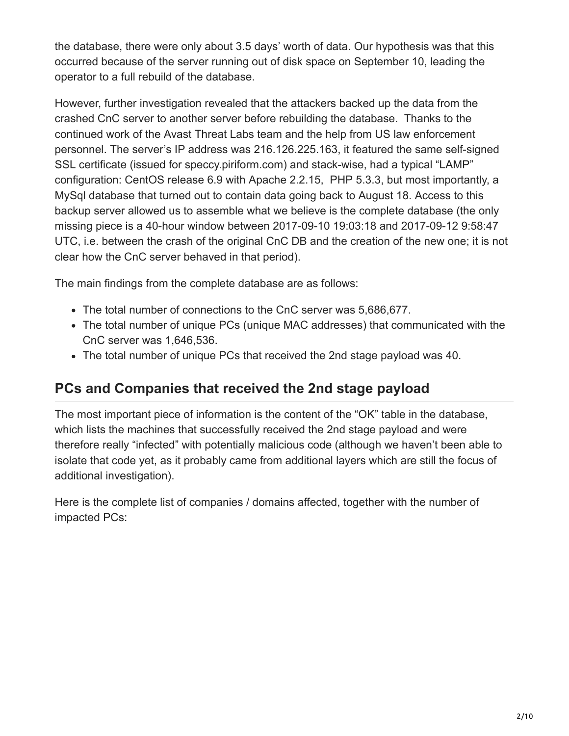the database, there were only about 3.5 days' worth of data. Our hypothesis was that this occurred because of the server running out of disk space on September 10, leading the operator to a full rebuild of the database.

However, further investigation revealed that the attackers backed up the data from the crashed CnC server to another server before rebuilding the database. Thanks to the continued work of the Avast Threat Labs team and the help from US law enforcement personnel. The server's IP address was 216.126.225.163, it featured the same self-signed SSL certificate (issued for speccy.piriform.com) and stack-wise, had a typical "LAMP" configuration: CentOS release 6.9 with Apache 2.2.15, PHP 5.3.3, but most importantly, a MySql database that turned out to contain data going back to August 18. Access to this backup server allowed us to assemble what we believe is the complete database (the only missing piece is a 40-hour window between 2017-09-10 19:03:18 and 2017-09-12 9:58:47 UTC, i.e. between the crash of the original CnC DB and the creation of the new one; it is not clear how the CnC server behaved in that period).

The main findings from the complete database are as follows:

- The total number of connections to the CnC server was 5,686,677.
- The total number of unique PCs (unique MAC addresses) that communicated with the CnC server was 1,646,536.
- The total number of unique PCs that received the 2nd stage payload was 40.

## **PCs and Companies that received the 2nd stage payload**

The most important piece of information is the content of the "OK" table in the database, which lists the machines that successfully received the 2nd stage payload and were therefore really "infected" with potentially malicious code (although we haven't been able to isolate that code yet, as it probably came from additional layers which are still the focus of additional investigation).

Here is the complete list of companies / domains affected, together with the number of impacted PCs: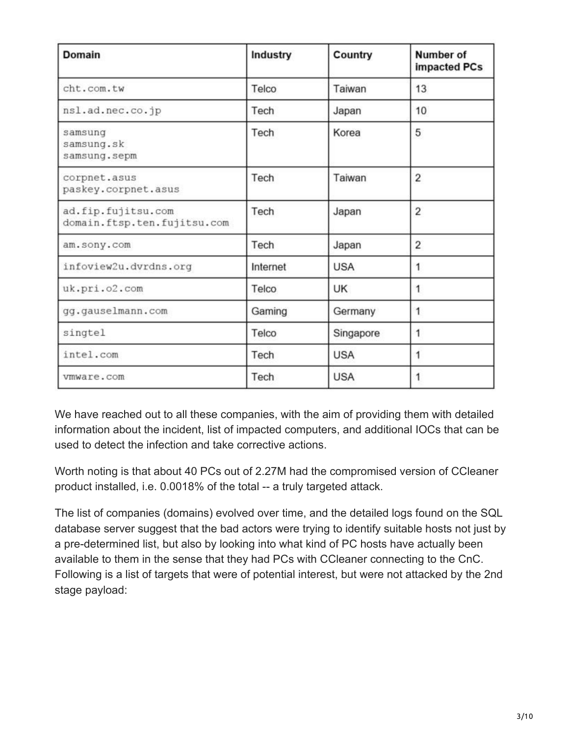| <b>Domain</b>                                     | Industry | Country    | Number of<br>impacted PCs |
|---------------------------------------------------|----------|------------|---------------------------|
| cht.com.tw                                        | Telco    | Taiwan     | 13                        |
| nsl.ad.nec.co.jp                                  | Tech     | Japan      | 10                        |
| samsung<br>samsung.sk<br>samsung.sepm             | Tech     | Korea      | 5                         |
| corpnet.asus<br>paskey.corpnet.asus               | Tech     | Taiwan     | 2                         |
| ad.fip.fujitsu.com<br>domain.ftsp.ten.fujitsu.com | Tech     | Japan      | $\overline{2}$            |
| am.sony.com                                       | Tech     | Japan      | 2                         |
| infoview2u.dvrdns.org                             | Internet | <b>USA</b> | 1                         |
| uk.pri.o2.com                                     | Telco    | <b>UK</b>  | 1                         |
| gg.gauselmann.com                                 | Gaming   | Germany    | 1                         |
| singtel                                           | Telco    | Singapore  | 1                         |
| intel.com                                         | Tech     | <b>USA</b> |                           |
| vmware.com                                        | Tech     | <b>USA</b> | 1                         |

We have reached out to all these companies, with the aim of providing them with detailed information about the incident, list of impacted computers, and additional IOCs that can be used to detect the infection and take corrective actions.

Worth noting is that about 40 PCs out of 2.27M had the compromised version of CCleaner product installed, i.e. 0.0018% of the total -- a truly targeted attack.

The list of companies (domains) evolved over time, and the detailed logs found on the SQL database server suggest that the bad actors were trying to identify suitable hosts not just by a pre-determined list, but also by looking into what kind of PC hosts have actually been available to them in the sense that they had PCs with CCleaner connecting to the CnC. Following is a list of targets that were of potential interest, but were not attacked by the 2nd stage payload: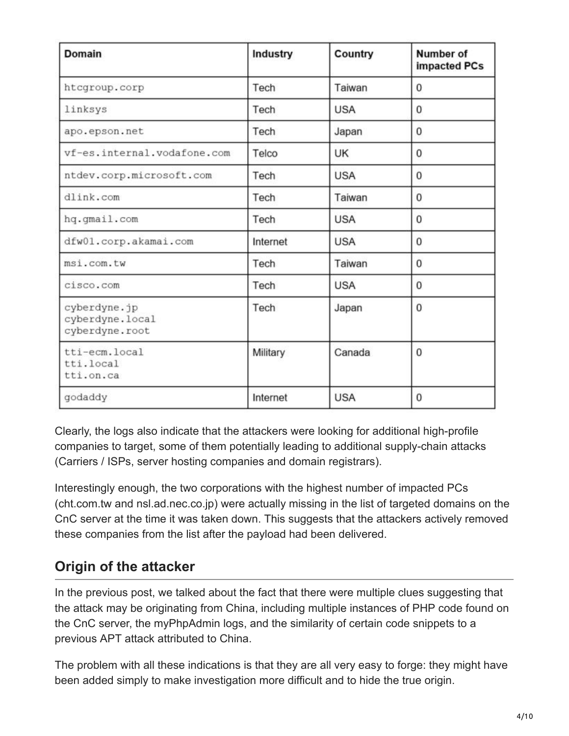| <b>Domain</b>                                     | Industry | Country    | Number of<br>impacted PCs |
|---------------------------------------------------|----------|------------|---------------------------|
| htcgroup.corp                                     | Tech     | Taiwan     | 0                         |
| linksys                                           | Tech     | <b>USA</b> | 0                         |
| apo.epson.net                                     | Tech     | Japan      | 0                         |
| vf-es.internal.vodafone.com                       | Telco    | UK         | 0                         |
| ntdev.corp.microsoft.com                          | Tech     | <b>USA</b> | 0                         |
| dlink.com                                         | Tech     | Taiwan     | 0                         |
| hq.gmail.com                                      | Tech     | <b>USA</b> | 0                         |
| dfw01.corp.akamai.com                             | Internet | <b>USA</b> | 0                         |
| msi.com.tw                                        | Tech     | Taiwan     | 0                         |
| cisco.com                                         | Tech     | <b>USA</b> | 0                         |
| cyberdyne.jp<br>cyberdyne.local<br>cyberdyne.root | Tech     | Japan      | 0                         |
| tti-ecm.local<br>tti.local<br>tti.on.ca           | Military | Canada     | 0                         |
| godaddy                                           | Internet | <b>USA</b> | 0                         |

Clearly, the logs also indicate that the attackers were looking for additional high-profile companies to target, some of them potentially leading to additional supply-chain attacks (Carriers / ISPs, server hosting companies and domain registrars).

Interestingly enough, the two corporations with the highest number of impacted PCs (cht.com.tw and nsl.ad.nec.co.jp) were actually missing in the list of targeted domains on the CnC server at the time it was taken down. This suggests that the attackers actively removed these companies from the list after the payload had been delivered.

## **Origin of the attacker**

In the previous post, we talked about the fact that there were multiple clues suggesting that the attack may be originating from China, including multiple instances of PHP code found on the CnC server, the myPhpAdmin logs, and the similarity of certain code snippets to a previous APT attack attributed to China.

The problem with all these indications is that they are all very easy to forge: they might have been added simply to make investigation more difficult and to hide the true origin.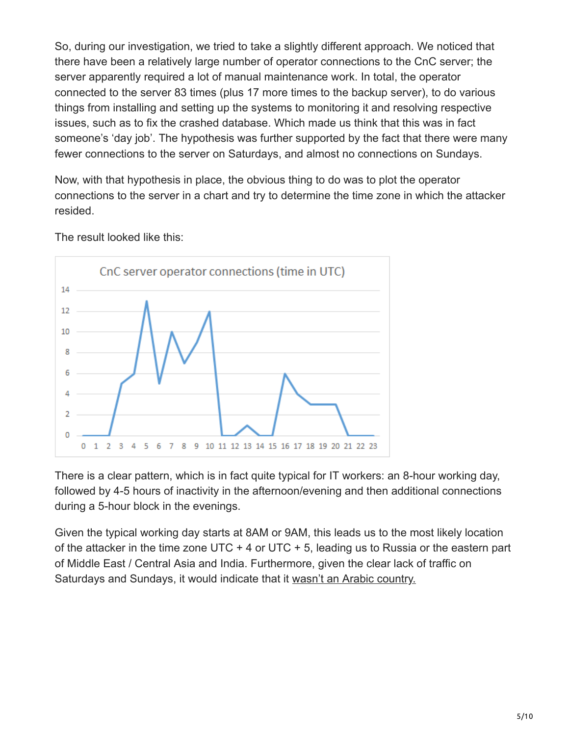So, during our investigation, we tried to take a slightly different approach. We noticed that there have been a relatively large number of operator connections to the CnC server; the server apparently required a lot of manual maintenance work. In total, the operator connected to the server 83 times (plus 17 more times to the backup server), to do various things from installing and setting up the systems to monitoring it and resolving respective issues, such as to fix the crashed database. Which made us think that this was in fact someone's 'day job'. The hypothesis was further supported by the fact that there were many fewer connections to the server on Saturdays, and almost no connections on Sundays.

Now, with that hypothesis in place, the obvious thing to do was to plot the operator connections to the server in a chart and try to determine the time zone in which the attacker resided.



The result looked like this:

There is a clear pattern, which is in fact quite typical for IT workers: an 8-hour working day, followed by 4-5 hours of inactivity in the afternoon/evening and then additional connections during a 5-hour block in the evenings.

Given the typical working day starts at 8AM or 9AM, this leads us to the most likely location of the attacker in the time zone UTC  $+$  4 or UTC  $+$  5, leading us to Russia or the eastern part of Middle East / Central Asia and India. Furthermore, given the clear lack of traffic on Saturdays and Sundays, it would indicate that it [wasn't an Arabic country.](https://en.wikipedia.org/wiki/Workweek_and_weekend)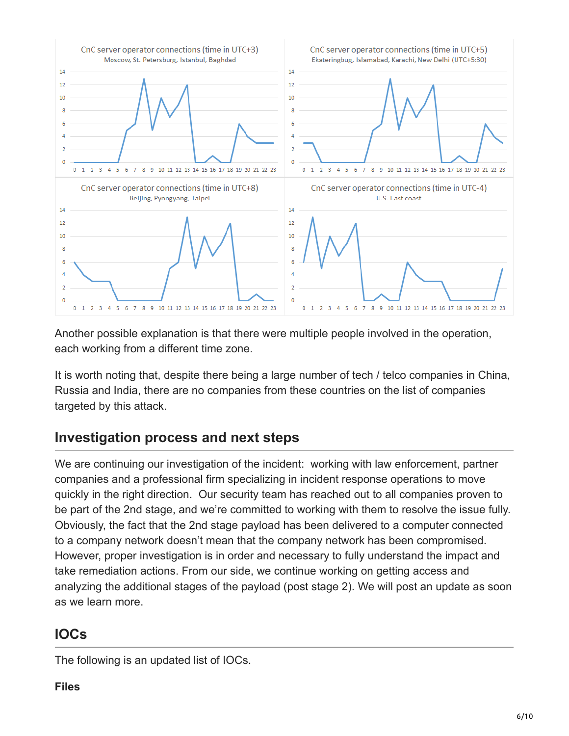

Another possible explanation is that there were multiple people involved in the operation, each working from a different time zone.

It is worth noting that, despite there being a large number of tech / telco companies in China, Russia and India, there are no companies from these countries on the list of companies targeted by this attack.

## **Investigation process and next steps**

We are continuing our investigation of the incident: working with law enforcement, partner companies and a professional firm specializing in incident response operations to move quickly in the right direction. Our security team has reached out to all companies proven to be part of the 2nd stage, and we're committed to working with them to resolve the issue fully. Obviously, the fact that the 2nd stage payload has been delivered to a computer connected to a company network doesn't mean that the company network has been compromised. However, proper investigation is in order and necessary to fully understand the impact and take remediation actions. From our side, we continue working on getting access and analyzing the additional stages of the payload (post stage 2). We will post an update as soon as we learn more.

# **IOCs**

The following is an updated list of IOCs.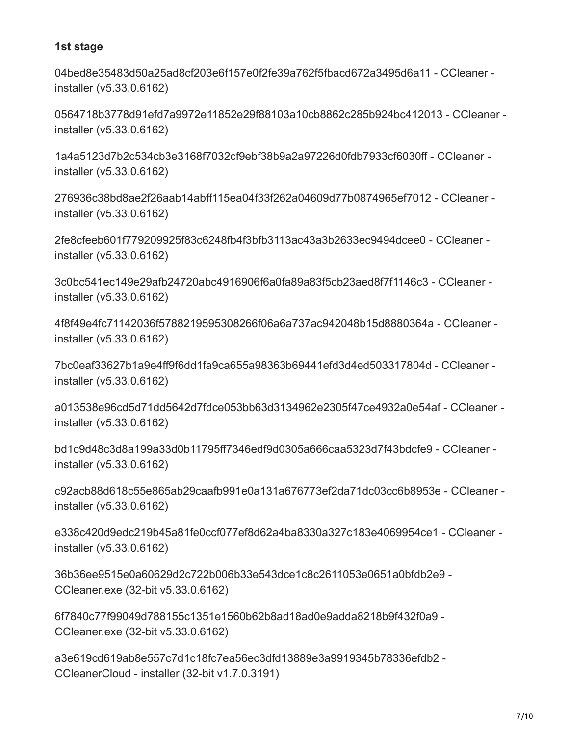#### **1st stage**

04bed8e35483d50a25ad8cf203e6f157e0f2fe39a762f5fbacd672a3495d6a11 - CCleaner installer (v5.33.0.6162)

0564718b3778d91efd7a9972e11852e29f88103a10cb8862c285b924bc412013 - CCleaner installer (v5.33.0.6162)

1a4a5123d7b2c534cb3e3168f7032cf9ebf38b9a2a97226d0fdb7933cf6030ff - CCleaner installer (v5.33.0.6162)

276936c38bd8ae2f26aab14abff115ea04f33f262a04609d77b0874965ef7012 - CCleaner installer (v5.33.0.6162)

2fe8cfeeb601f779209925f83c6248fb4f3bfb3113ac43a3b2633ec9494dcee0 - CCleaner installer (v5.33.0.6162)

3c0bc541ec149e29afb24720abc4916906f6a0fa89a83f5cb23aed8f7f1146c3 - CCleaner installer (v5.33.0.6162)

4f8f49e4fc71142036f5788219595308266f06a6a737ac942048b15d8880364a - CCleaner installer (v5.33.0.6162)

7bc0eaf33627b1a9e4ff9f6dd1fa9ca655a98363b69441efd3d4ed503317804d - CCleaner installer (v5.33.0.6162)

a013538e96cd5d71dd5642d7fdce053bb63d3134962e2305f47ce4932a0e54af - CCleaner installer (v5.33.0.6162)

bd1c9d48c3d8a199a33d0b11795ff7346edf9d0305a666caa5323d7f43bdcfe9 - CCleaner installer (v5.33.0.6162)

c92acb88d618c55e865ab29caafb991e0a131a676773ef2da71dc03cc6b8953e - CCleaner installer (v5.33.0.6162)

e338c420d9edc219b45a81fe0ccf077ef8d62a4ba8330a327c183e4069954ce1 - CCleaner installer (v5.33.0.6162)

36b36ee9515e0a60629d2c722b006b33e543dce1c8c2611053e0651a0bfdb2e9 - CCleaner.exe (32-bit v5.33.0.6162)

6f7840c77f99049d788155c1351e1560b62b8ad18ad0e9adda8218b9f432f0a9 - CCleaner.exe (32-bit v5.33.0.6162)

a3e619cd619ab8e557c7d1c18fc7ea56ec3dfd13889e3a9919345b78336efdb2 - CCleanerCloud - installer (32-bit v1.7.0.3191)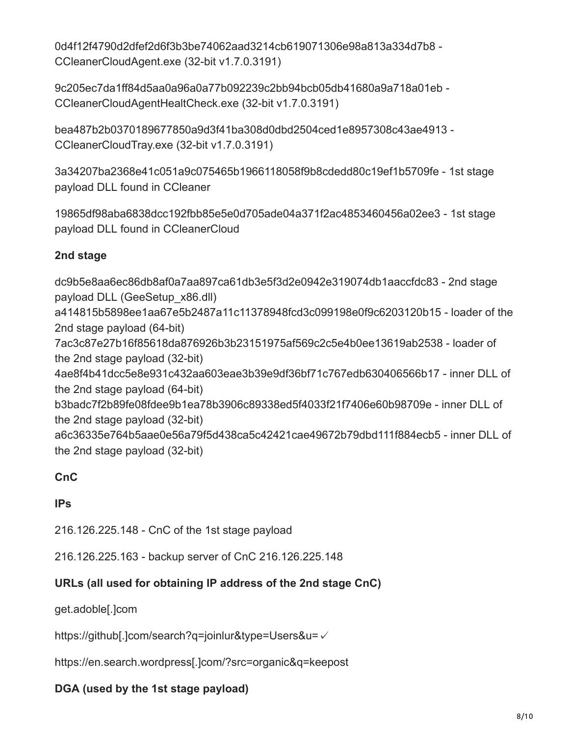0d4f12f4790d2dfef2d6f3b3be74062aad3214cb619071306e98a813a334d7b8 - CCleanerCloudAgent.exe (32-bit v1.7.0.3191)

9c205ec7da1ff84d5aa0a96a0a77b092239c2bb94bcb05db41680a9a718a01eb - CCleanerCloudAgentHealtCheck.exe (32-bit v1.7.0.3191)

bea487b2b0370189677850a9d3f41ba308d0dbd2504ced1e8957308c43ae4913 - CCleanerCloudTray.exe (32-bit v1.7.0.3191)

3a34207ba2368e41c051a9c075465b1966118058f9b8cdedd80c19ef1b5709fe - 1st stage payload DLL found in CCleaner

19865df98aba6838dcc192fbb85e5e0d705ade04a371f2ac4853460456a02ee3 - 1st stage payload DLL found in CCleanerCloud

#### **2nd stage**

dc9b5e8aa6ec86db8af0a7aa897ca61db3e5f3d2e0942e319074db1aaccfdc83 - 2nd stage payload DLL (GeeSetup\_x86.dll) a414815b5898ee1aa67e5b2487a11c11378948fcd3c099198e0f9c6203120b15 - loader of the 2nd stage payload (64-bit) 7ac3c87e27b16f85618da876926b3b23151975af569c2c5e4b0ee13619ab2538 - loader of the 2nd stage payload (32-bit) 4ae8f4b41dcc5e8e931c432aa603eae3b39e9df36bf71c767edb630406566b17 - inner DLL of the 2nd stage payload (64-bit) b3badc7f2b89fe08fdee9b1ea78b3906c89338ed5f4033f21f7406e60b98709e - inner DLL of the 2nd stage payload (32-bit) a6c36335e764b5aae0e56a79f5d438ca5c42421cae49672b79dbd111f884ecb5 - inner DLL of the 2nd stage payload (32-bit)

### **CnC**

#### **IPs**

216.126.225.148 - CnC of the 1st stage payload

216.126.225.163 - backup server of CnC 216.126.225.148

### **URLs (all used for obtaining IP address of the 2nd stage CnC)**

get.adoble[.]com

https://github[.]com/search?q=joinlur&type=Users&u=✓

https://en.search.wordpress[.]com/?src=organic&q=keepost

#### **DGA (used by the 1st stage payload)**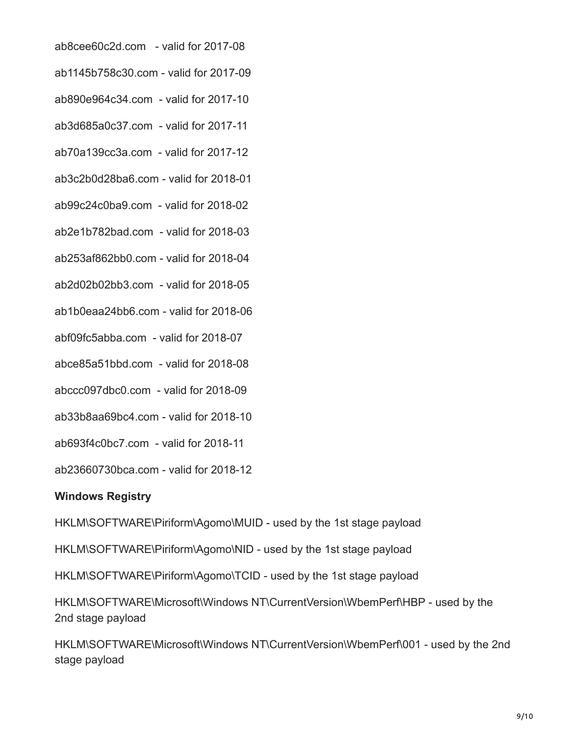ab8cee60c2d.com - valid for 2017-08

ab1145b758c30.com - valid for 2017-09

ab890e964c34.com - valid for 2017-10

ab3d685a0c37.com - valid for 2017-11

ab70a139cc3a.com - valid for 2017-12

ab3c2b0d28ba6.com - valid for 2018-01

ab99c24c0ba9.com - valid for 2018-02

ab2e1b782bad.com - valid for 2018-03

ab253af862bb0.com - valid for 2018-04

ab2d02b02bb3.com - valid for 2018-05

ab1b0eaa24bb6.com - valid for 2018-06

abf09fc5abba.com - valid for 2018-07

abce85a51bbd.com - valid for 2018-08

abccc097dbc0.com - valid for 2018-09

ab33b8aa69bc4.com - valid for 2018-10

ab693f4c0bc7.com - valid for 2018-11

ab23660730bca.com - valid for 2018-12

#### **Windows Registry**

HKLM\SOFTWARE\Piriform\Agomo\MUID - used by the 1st stage payload

HKLM\SOFTWARE\Piriform\Agomo\NID - used by the 1st stage payload

HKLM\SOFTWARE\Piriform\Agomo\TCID - used by the 1st stage payload

HKLM\SOFTWARE\Microsoft\Windows NT\CurrentVersion\WbemPerf\HBP - used by the 2nd stage payload

HKLM\SOFTWARE\Microsoft\Windows NT\CurrentVersion\WbemPerf\001 - used by the 2nd stage payload